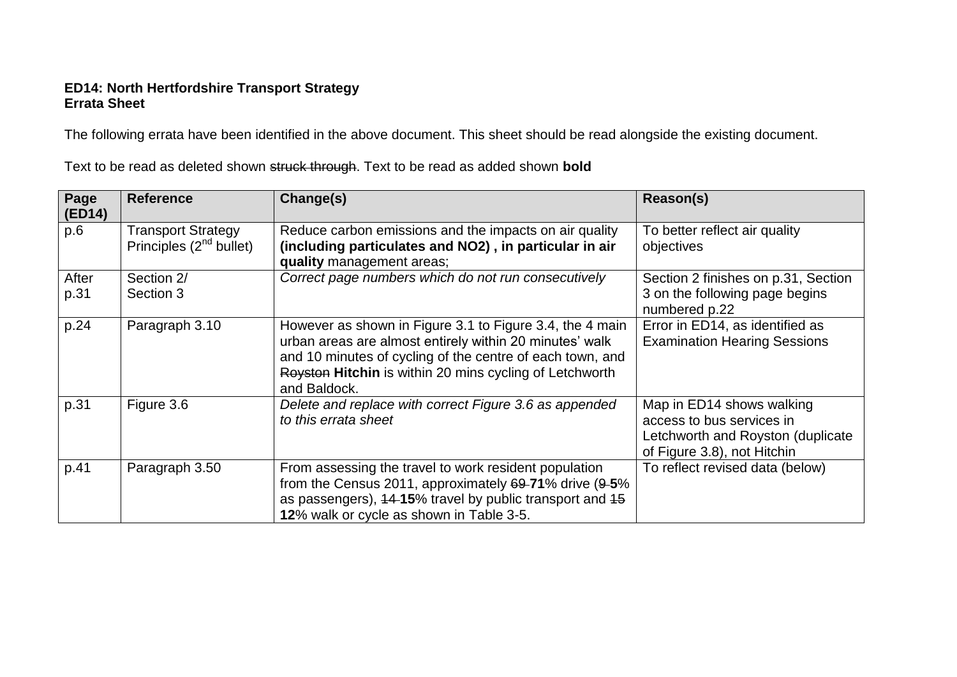## **ED14: North Hertfordshire Transport Strategy Errata Sheet**

The following errata have been identified in the above document. This sheet should be read alongside the existing document.

| Page<br>(ED14) | <b>Reference</b>                                          | Change(s)                                                                                                                                                                                                                                                   | Reason(s)                                                                                                                  |
|----------------|-----------------------------------------------------------|-------------------------------------------------------------------------------------------------------------------------------------------------------------------------------------------------------------------------------------------------------------|----------------------------------------------------------------------------------------------------------------------------|
| p.6            | <b>Transport Strategy</b><br>Principles $(2^{nd}$ bullet) | Reduce carbon emissions and the impacts on air quality<br>(including particulates and NO2), in particular in air<br>quality management areas;                                                                                                               | To better reflect air quality<br>objectives                                                                                |
| After<br>p.31  | Section 2/<br>Section 3                                   | Correct page numbers which do not run consecutively                                                                                                                                                                                                         | Section 2 finishes on p.31, Section<br>3 on the following page begins<br>numbered p.22                                     |
| p.24           | Paragraph 3.10                                            | However as shown in Figure 3.1 to Figure 3.4, the 4 main<br>urban areas are almost entirely within 20 minutes' walk<br>and 10 minutes of cycling of the centre of each town, and<br>Royston Hitchin is within 20 mins cycling of Letchworth<br>and Baldock. | Error in ED14, as identified as<br><b>Examination Hearing Sessions</b>                                                     |
| p.31           | Figure 3.6                                                | Delete and replace with correct Figure 3.6 as appended<br>to this errata sheet                                                                                                                                                                              | Map in ED14 shows walking<br>access to bus services in<br>Letchworth and Royston (duplicate<br>of Figure 3.8), not Hitchin |
| p.41           | Paragraph 3.50                                            | From assessing the travel to work resident population<br>from the Census 2011, approximately $69-71\%$ drive $(9-5\%$<br>as passengers), 44-15% travel by public transport and 45<br>12% walk or cycle as shown in Table 3-5.                               | To reflect revised data (below)                                                                                            |

Text to be read as deleted shown struck through. Text to be read as added shown **bold**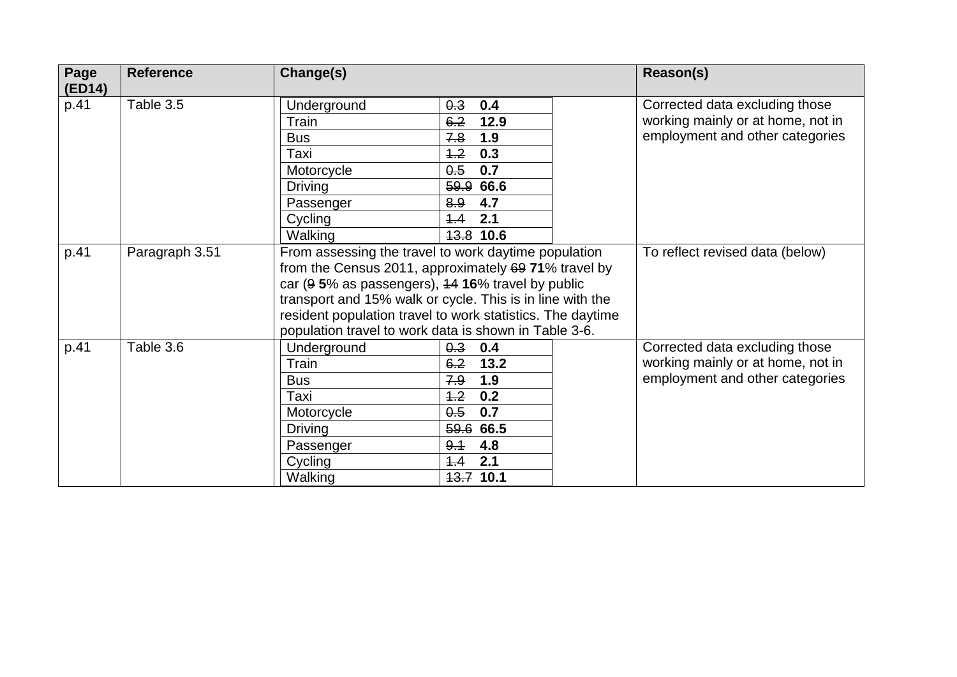| Page<br>(ED14) | <b>Reference</b> | Change(s)                                                                                                                                                                                                                                                                                                                                             | Reason(s)                                                                                                                    |                                                                                                        |
|----------------|------------------|-------------------------------------------------------------------------------------------------------------------------------------------------------------------------------------------------------------------------------------------------------------------------------------------------------------------------------------------------------|------------------------------------------------------------------------------------------------------------------------------|--------------------------------------------------------------------------------------------------------|
| p.41           | Table 3.5        | Underground<br>Train<br><b>Bus</b><br>Taxi<br>Motorcycle<br><b>Driving</b><br>Passenger<br>Cycling<br>Walking                                                                                                                                                                                                                                         | 0.3<br>0.4<br>6.2<br>12.9<br>1.9<br>7.8<br>0.3<br>4.2<br>0.7<br>0.5<br>59.9<br>66.6<br>8.9<br>4.7<br>2.1<br>4.4<br>13.8 10.6 | Corrected data excluding those<br>working mainly or at home, not in<br>employment and other categories |
| p.41           | Paragraph 3.51   | From assessing the travel to work daytime population<br>from the Census 2011, approximately 69 71% travel by<br>car (9 5% as passengers), 44 16% travel by public<br>transport and 15% walk or cycle. This is in line with the<br>resident population travel to work statistics. The daytime<br>population travel to work data is shown in Table 3-6. |                                                                                                                              | To reflect revised data (below)                                                                        |
| p.41           | Table 3.6        | Underground<br>Train<br><b>Bus</b><br>Taxi<br>Motorcycle<br><b>Driving</b><br>Passenger<br>Cycling<br>Walking                                                                                                                                                                                                                                         | 0.3<br>0.4<br>13.2<br>6.2<br>1.9<br>7.9<br>0.2<br>4.2<br>0.7<br>0.5<br>59.6 66.5<br>4.8<br>9.1<br>4.4<br>2.1<br>13.7 10.1    | Corrected data excluding those<br>working mainly or at home, not in<br>employment and other categories |